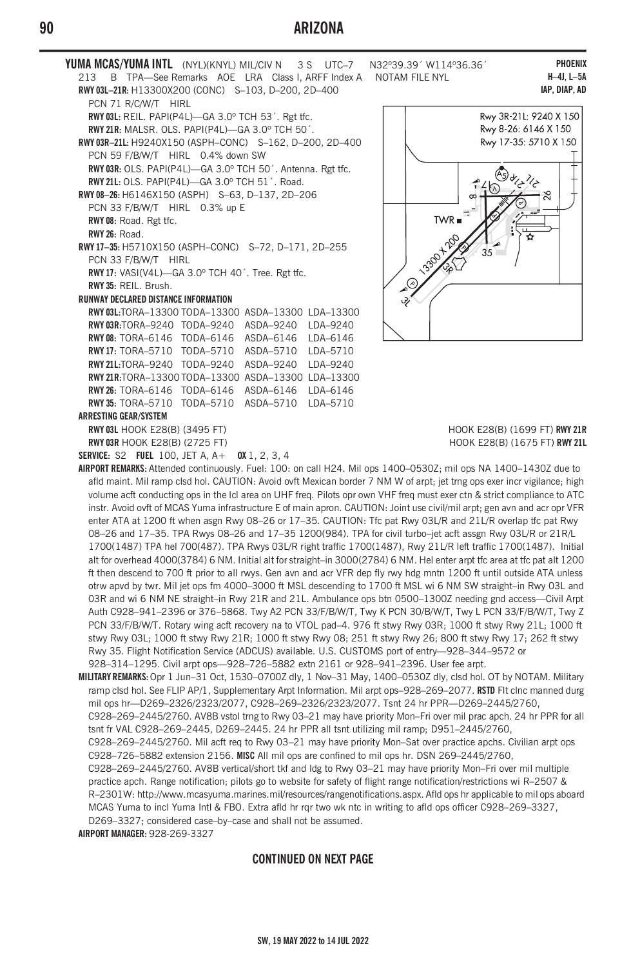## **90 ARIZONA**

**YUMA MCAS/YUMA INTL** (NYL)(KNYL) MIL/CIV N 3 S UTC–7 N32°39.39´ W114°36.36<sup>^</sup><br>213 B TPA—See Remarks AOF IRA Class LARFF Index A NOTAM FILE NYI 213 B TPA-See Remarks AOE LRA Class I, ARFF Index A **RWY 03L–21R:** H13300X200 (CONC) S–103, D–200, 2D–400 PCN 71 R/C/W/T HIRL **RWY 03L:** REIL. PAPI(P4L)—GA 3.0º TCH 53´. Rgt tfc. **RWY 21R:** MALSR. OLS. PAPI(P4L)—GA 3.0º TCH 50´. **RWY 03R–21L:** H9240X150 (ASPH–CONC) S–162, D–200, 2D–400 PCN 59 F/B/W/T HIRL 0.4% down SW **RWY 03R:** OLS. PAPI(P4L)—GA 3.0º TCH 50´. Antenna. Rgt tfc. **RWY 21L:** OLS. PAPI(P4L)—GA 3.0º TCH 51´. Road. **RWY 08–26:** H6146X150 (ASPH) S–63, D–137, 2D–206 PCN 33 F/B/W/T HIRL 0.3% up E **RWY 08:** Road. Rgt tfc. **RWY 26:** Road. **RWY 17–35:** H5710X150 (ASPH–CONC) S–72, D–171, 2D–255 PCN 33 F/B/W/T HIRL **RWY 17:** VASI(V4L)—GA 3.0º TCH 40´. Tree. Rgt tfc. **RWY 35:** REIL. Brush. **RUNWAY DECLARED DISTANCE INFORMATION RWY 03L:**TORA–13300 TODA–13300 ASDA–13300 LDA–13300 **RWY 03R:**TORA–9240 TODA–9240 ASDA–9240 LDA–9240 **RWY 08:** TORA–6146 TODA–6146 ASDA–6146 LDA–6146 **RWY 17:** TORA–5710 TODA–5710 ASDA–5710 LDA–5710 **RWY 21L:**TORA–9240 TODA–9240 ASDA–9240 LDA–9240 **RWY 21R:**TORA–13300 TODA–13300 ASDA–13300 LDA–13300 **RWY 26:** TORA–6146 TODA–6146 ASDA–6146 LDA–6146 **RWY 35:** TORA–5710 TODA–5710 ASDA–5710 LDA–5710 **ARRESTING GEAR/SYSTEM RWY 03L** HOOK E28(B) (3495 FT) HOOK E28(B) (1699 FT) **RWY 21R RWY 03R** HOOK E28(B) (2725 FT) **RWY 21L HOOK E28(B)** (1675 FT) **RWY 21L** 

**SERVICE:** S2 **FUEL** 100, JET A, A+ **OX** 1, 2, 3, 4

**PHOENIX H–4J, L–5A IAP, DIAP, AD**



**AIRPORT REMARKS:** Attended continuously. Fuel: 100: on call H24. Mil ops 1400–0530Z; mil ops NA 1400–1430Z due to afld maint. Mil ramp clsd hol. CAUTION: Avoid ovft Mexican border 7 NM W of arpt; jet trng ops exer incr vigilance; high volume acft conducting ops in the lcl area on UHF freq. Pilots opr own VHF freq must exer ctn & strict compliance to ATC instr. Avoid ovft of MCAS Yuma infrastructure E of main apron. CAUTION: Joint use civil/mil arpt; gen avn and acr opr VFR enter ATA at 1200 ft when asgn Rwy 08–26 or 17–35. CAUTION: Tfc pat Rwy 03L/R and 21L/R overlap tfc pat Rwy 08–26 and 17–35. TPA Rwys 08–26 and 17–35 1200(984). TPA for civil turbo–jet acft assgn Rwy 03L/R or 21R/L 1700(1487) TPA hel 700(487). TPA Rwys 03L/R right traffic 1700(1487), Rwy 21L/R left traffic 1700(1487). Initial alt for overhead 4000(3784) 6 NM. Initial alt for straight–in 3000(2784) 6 NM. Hel enter arpt tfc area at tfc pat alt 1200 ft then descend to 700 ft prior to all rwys. Gen avn and acr VFR dep fly rwy hdg mntn 1200 ft until outside ATA unless otrw apvd by twr. Mil jet ops fm 4000–3000 ft MSL descending to 1700 ft MSL wi 6 NM SW straight–in Rwy 03L and 03R and wi 6 NM NE straight–in Rwy 21R and 21L. Ambulance ops btn 0500–1300Z needing gnd access—Civil Arpt Auth C928–941–2396 or 376–5868. Twy A2 PCN 33/F/B/W/T, Twy K PCN 30/B/W/T, Twy L PCN 33/F/B/W/T, Twy Z PCN 33/F/B/W/T. Rotary wing acft recovery na to VTOL pad–4. 976 ft stwy Rwy 03R; 1000 ft stwy Rwy 21L; 1000 ft stwy Rwy 03L; 1000 ft stwy Rwy 21R; 1000 ft stwy Rwy 08; 251 ft stwy Rwy 26; 800 ft stwy Rwy 17; 262 ft stwy Rwy 35. Flight Notification Service (ADCUS) available. U.S. CUSTOMS port of entry—928–344–9572 or 928–314–1295. Civil arpt ops—928–726–5882 extn 2161 or 928–941–2396. User fee arpt.

**MILITARY REMARKS:** Opr 1 Jun–31 Oct, 1530–0700Z dly, 1 Nov–31 May, 1400–0530Z dly, clsd hol. OT by NOTAM. Military ramp clsd hol. See FLIP AP/1, Supplementary Arpt Information. Mil arpt ops–928–269–2077. **RSTD** Flt clnc manned durg mil ops hr—D269–2326/2323/2077, C928–269–2326/2323/2077. Tsnt 24 hr PPR—D269–2445/2760, C928–269–2445/2760. AV8B vstol trng to Rwy 03–21 may have priority Mon–Fri over mil prac apch. 24 hr PPR for all tsnt fr VAL C928–269–2445, D269–2445. 24 hr PPR all tsnt utilizing mil ramp; D951–2445/2760, C928–269–2445/2760. Mil acft req to Rwy 03–21 may have priority Mon–Sat over practice apchs. Civilian arpt ops C928–726–5882 extension 2156. **MISC** All mil ops are confined to mil ops hr. DSN 269–2445/2760, C928–269–2445/2760. AV8B vertical/short tkf and ldg to Rwy 03–21 may have priority Mon–Fri over mil multiple practice apch. Range notification; pilots go to website for safety of flight range notification/restrictions wi R–2507 & R–2301W: http://www.mcasyuma.marines.mil/resources/rangenotifications.aspx. Afld ops hr applicable to mil ops aboard MCAS Yuma to incl Yuma Intl & FBO. Extra afld hr rqr two wk ntc in writing to afld ops officer C928–269–3327, D269–3327; considered case–by–case and shall not be assumed. **AIRPORT MANAGER:** 928-269-3327

## **CONTINUED ON NEXT PAGE**